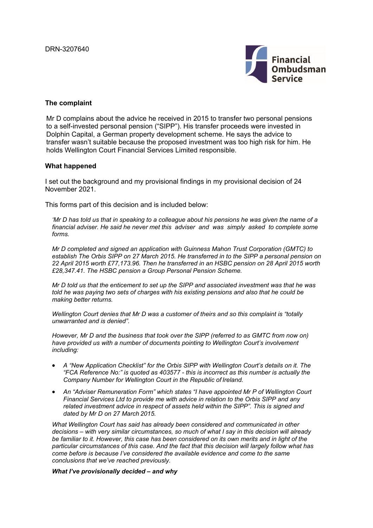

### **The complaint**

Mr D complains about the advice he received in 2015 to transfer two personal pensions to a self-invested personal pension ("SIPP"). His transfer proceeds were invested in Dolphin Capital, a German property development scheme. He says the advice to transfer wasn't suitable because the proposed investment was too high risk for him. He holds Wellington Court Financial Services Limited responsible.

#### **What happened**

I set out the background and my provisional findings in my provisional decision of 24 November 2021.

This forms part of this decision and is included below:

*'Mr D has told us that in speaking to a colleague about his pensions he was given the name of a*  financial adviser. He said he never met this adviser and was simply asked to complete some *forms.*

*Mr D completed and signed an application with Guinness Mahon Trust Corporation (GMTC) to establish The Orbis SIPP on 27 March 2015. He transferred in to the SIPP a personal pension on 22 April 2015 worth £77,173.96. Then he transferred in an HSBC pension on 28 April 2015 worth £28,347.41. The HSBC pension a Group Personal Pension Scheme.*

*Mr D told us that the enticement to set up the SIPP and associated investment was that he was told he was paying two sets of charges with his existing pensions and also that he could be making better returns.*

*Wellington Court denies that Mr D was a customer of theirs and so this complaint is "totally unwarranted and is denied".*

*However, Mr D and the business that took over the SIPP (referred to as GMTC from now on) have provided us with a number of documents pointing to Wellington Court's involvement including:*

- *A "New Application Checklist" for the Orbis SIPP with Wellington Court's details on it. The "FCA Reference No:" is quoted as 403577 - this is incorrect as this number is actually the Company Number for Wellington Court in the Republic of Ireland.*
- *An "Adviser Remuneration Form" which states "I have appointed Mr P of Wellington Court Financial Services Ltd to provide me with advice in relation to the Orbis SIPP and any related investment advice in respect of assets held within the SIPP". This is signed and dated by Mr D on 27 March 2015.*

*What Wellington Court has said has already been considered and communicated in other decisions – with very similar circumstances, so much of what I say in this decision will already be familiar to it. However, this case has been considered on its own merits and in light of the particular circumstances of this case. And the fact that this decision will largely follow what has come before is because I've considered the available evidence and come to the same conclusions that we've reached previously.*

*What I've provisionally decided – and why*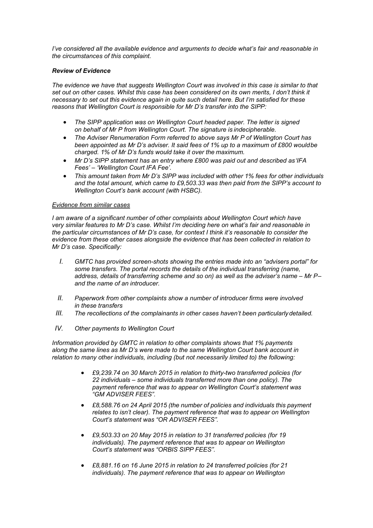*I've considered all the available evidence and arguments to decide what's fair and reasonable in the circumstances of this complaint.*

#### *Review of Evidence*

*The evidence we have that suggests Wellington Court was involved in this case is similar to that*  set out on other cases. Whilst this case has been considered on its own merits, I don't think it *necessary to set out this evidence again in quite such detail here. But I'm satisfied for these reasons that Wellington Court is responsible for Mr D's transfer into the SIPP:*

- *The SIPP application was on Wellington Court headed paper. The letter is signed on behalf of Mr P from Wellington Court. The signature is indecipherable.*
- *The Adviser Renumeration Form referred to above says Mr P of Wellington Court has been appointed as Mr D's adviser. It said fees of 1% up to a maximum of £800 would be charged. 1% of Mr D's funds would take it over the maximum.*
- *Mr D's SIPP statement has an entry where £800 was paid out and described as 'IFA Fees' – 'Wellington Court IFA Fee'.*
- *This amount taken from Mr D's SIPP was included with other 1% fees for other individuals and the total amount, which came to £9,503.33 was then paid from the SIPP's account to Wellington Court's bank account (with HSBC).*

#### *Evidence from similar cases*

*I am aware of a significant number of other complaints about Wellington Court which have very similar features to Mr D's case. Whilst I'm deciding here on what's fair and reasonable in the particular circumstances of Mr D's case, for context I think it's reasonable to consider the evidence from these other cases alongside the evidence that has been collected in relation to Mr D's case. Specifically:*

- *I. GMTC has provided screen-shots showing the entries made into an "advisers portal" for some transfers. The portal records the details of the individual transferring (name, address, details of transferring scheme and so on) as well as the adviser's name – Mr P– and the name of an introducer.*
- *II. Paperwork from other complaints show a number of introducer firms were involved in these transfers*
- *III. The recollections of the complainants in other cases haven't been particularly detailed.*
- *IV. Other payments to Wellington Court*

*Information provided by GMTC in relation to other complaints shows that 1% payments along the same lines as Mr D's were made to the same Wellington Court bank account in relation to many other individuals, including (but not necessarily limited to) the following:*

- *£9,239.74 on 30 March 2015 in relation to thirty-two transferred policies (for 22 individuals – some individuals transferred more than one policy). The payment reference that was to appear on Wellington Court's statement was "GM ADVISER FEES".*
- *£8,588.76 on 24 April 2015 (the number of policies and individuals this payment relates to isn't clear). The payment reference that was to appear on Wellington Court's statement was "OR ADVISER FEES".*
- *£9,503.33 on 20 May 2015 in relation to 31 transferred policies (for 19 individuals). The payment reference that was to appear on Wellington Court's statement was "ORBIS SIPP FEES".*
- *£8,881.16 on 16 June 2015 in relation to 24 transferred policies (for 21 individuals). The payment reference that was to appear on Wellington*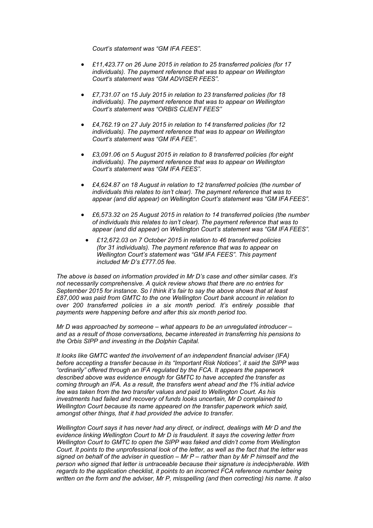*Court's statement was "GM IFA FEES".*

- *£11,423.77 on 26 June 2015 in relation to 25 transferred policies (for 17 individuals). The payment reference that was to appear on Wellington Court's statement was "GM ADVISER FEES".*
- *£7,731.07 on 15 July 2015 in relation to 23 transferred policies (for 18 individuals). The payment reference that was to appear on Wellington Court's statement was "ORBIS CLIENT FEES"*
- *£4,762.19 on 27 July 2015 in relation to 14 transferred policies (for 12 individuals). The payment reference that was to appear on Wellington Court's statement was "GM IFA FEE".*
- *£3,091.06 on 5 August 2015 in relation to 8 transferred policies (for eight individuals). The payment reference that was to appear on Wellington Court's statement was "GM IFA FEES".*
- *£4,624.87 on 18 August in relation to 12 transferred policies (the number of individuals this relates to isn't clear). The payment reference that was to appear (and did appear) on Wellington Court's statement was "GM IFA FEES".*
- *£6,573.32 on 25 August 2015 in relation to 14 transferred policies (the number of individuals this relates to isn't clear). The payment reference that was to appear (and did appear) on Wellington Court's statement was "GM IFA FEES".*
	- *£12,672.03 on 7 October 2015 in relation to 46 transferred policies (for 31 individuals). The payment reference that was to appear on Wellington Court's statement was "GM IFA FEES". This payment included Mr D's £777.05 fee.*

*The above is based on information provided in Mr D's case and other similar cases. It's not necessarily comprehensive. A quick review shows that there are no entries for September 2015 for instance. So I think it's fair to say the above shows that at least £87,000 was paid from GMTC to the one Wellington Court bank account in relation to over 200 transferred policies in a six month period. It's entirely possible that payments were happening before and after this six month period too.*

*Mr D was approached by someone – what appears to be an unregulated introducer – and as a result of those conversations, became interested in transferring his pensions to the Orbis SIPP and investing in the Dolphin Capital.*

*It looks like GMTC wanted the involvement of an independent financial adviser (IFA) before accepting a transfer because in its "Important Risk Notices", it said the SIPP was "ordinarily" offered through an IFA regulated by the FCA. It appears the paperwork described above was evidence enough for GMTC to have accepted the transfer as coming through an IFA. As a result, the transfers went ahead and the 1% initial advice fee was taken from the two transfer values and paid to Wellington Court. As his investments had failed and recovery of funds looks uncertain, Mr D complained to Wellington Court because its name appeared on the transfer paperwork which said, amongst other things, that it had provided the advice to transfer.*

*Wellington Court says it has never had any direct, or indirect, dealings with Mr D and the evidence linking Wellington Court to Mr D is fraudulent. It says the covering letter from Wellington Court to GMTC to open the SIPP was faked and didn't come from Wellington Court. It points to the unprofessional look of the letter, as well as the fact that the letter was signed on behalf of the adviser in question – Mr P – rather than by Mr P himself and the person who signed that letter is untraceable because their signature is indecipherable. With regards to the application checklist, it points to an incorrect FCA reference number being written on the form and the adviser, Mr P, misspelling (and then correcting) his name. It also*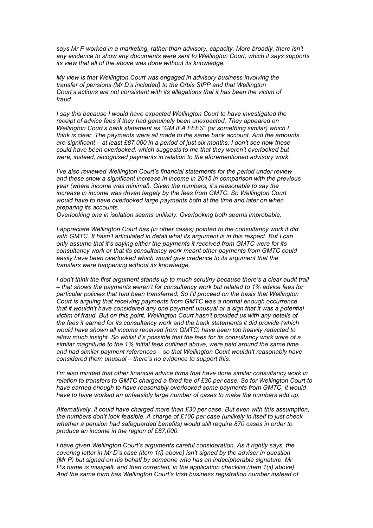*says Mr P worked in a marketing, rather than advisory, capacity. More broadly, there isn't any evidence to show any documents were sent to Wellington Court, which it says supports its view that all of the above was done without its knowledge.*

*My view is that Wellington Court was engaged in advisory business involving the transfer of pensions (Mr D's included) to the Orbis SIPP and that Wellington Court's actions are not consistent with its allegations that it has been the victim of fraud.*

*I say this because I would have expected Wellington Court to have investigated the receipt of advice fees if they had genuinely been unexpected. They appeared on Wellington Court's bank statement as "GM IFA FEES" (or something similar) which I think is clear. The payments were all made to the same bank account. And the amounts are significant – at least £87,000 in a period of just six months. I don't see how these could have been overlooked, which suggests to me that they weren't overlooked but were, instead, recognised payments in relation to the aforementioned advisory work.*

*I've also reviewed Wellington Court's financial statements for the period under review and these show a significant increase in income in 2015 in comparison with the previous year (where income was minimal). Given the numbers, it's reasonable to say the increase in income was driven largely by the fees from GMTC. So Wellington Court would have to have overlooked large payments both at the time and later on when preparing its accounts.*

*Overlooking one in isolation seems unlikely. Overlooking both seems improbable.*

*I appreciate Wellington Court has (in other cases) pointed to the consultancy work it did with GMTC. It hasn't articulated in detail what its argument is in this respect. But I can only assume that it's saying either the payments it received from GMTC were for its consultancy work or that its consultancy work meant other payments from GMTC could easily have been overlooked which would give credence to its argument that the transfers were happening without its knowledge.*

*I don't think the first argument stands up to much scrutiny because there's a clear audit trail – that shows the payments weren't for consultancy work but related to 1% advice fees for particular policies that had been transferred. So I'll proceed on the basis that Wellington Court is arguing that receiving payments from GMTC was a normal enough occurrence that it wouldn't have considered any one payment unusual or a sign that it was a potential victim of fraud. But on this point, Wellington Court hasn't provided us with any details of the fees it earned for its consultancy work and the bank statements it did provide (which would have shown all income received from GMTC) have been too heavily redacted to allow much insight. So whilst it's possible that the fees for its consultancy work were of a similar magnitude to the 1% initial fees outlined above, were paid around the same time and had similar payment references – so that Wellington Court wouldn't reasonably have considered them unusual – there's no evidence to support this.*

*I'm also minded that other financial advice firms that have done similar consultancy work in relation to transfers to GMTC charged a fixed fee of £30 per case. So for Wellington Court to have earned enough to have reasonably overlooked some payments from GMTC, it would have to have worked an unfeasibly large number of cases to make the numbers add up.*

*Alternatively, it could have charged more than £30 per case. But even with this assumption, the numbers don't look feasible. A charge of £100 per case (unlikely in itself to just check whether a pension had safeguarded benefits) would still require 870 cases in order to produce an income in the region of £87,000.*

*I have given Wellington Court's arguments careful consideration. As it rightly says, the covering letter in Mr D's case (item 1(i) above) isn't signed by the adviser in question (Mr P) but signed on his behalf by someone who has an indecipherable signature. Mr P's name is misspelt, and then corrected, in the application checklist (item 1(ii) above). And the same form has Wellington Court's Irish business registration number instead of*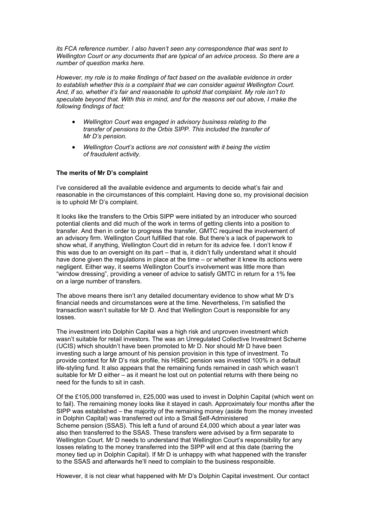*its FCA reference number. I also haven't seen any correspondence that was sent to Wellington Court or any documents that are typical of an advice process. So there are a number of question marks here.*

*However, my role is to make findings of fact based on the available evidence in order to establish whether this is a complaint that we can consider against Wellington Court. And, if so, whether it's fair and reasonable to uphold that complaint. My role isn't to speculate beyond that. With this in mind, and for the reasons set out above, I make the following findings of fact:*

- *Wellington Court was engaged in advisory business relating to the transfer of pensions to the Orbis SIPP. This included the transfer of Mr D's pension.*
- *Wellington Court's actions are not consistent with it being the victim of fraudulent activity.*

#### **The merits of Mr D's complaint**

I've considered all the available evidence and arguments to decide what's fair and reasonable in the circumstances of this complaint. Having done so, my provisional decision is to uphold Mr D's complaint.

It looks like the transfers to the Orbis SIPP were initiated by an introducer who sourced potential clients and did much of the work in terms of getting clients into a position to transfer. And then in order to progress the transfer, GMTC required the involvement of an advisory firm. Wellington Court fulfilled that role. But there's a lack of paperwork to show what, if anything, Wellington Court did in return for its advice fee. I don't know if this was due to an oversight on its part – that is, it didn't fully understand what it should have done given the regulations in place at the time – or whether it knew its actions were negligent. Either way, it seems Wellington Court's involvement was little more than "window dressing", providing a veneer of advice to satisfy GMTC in return for a 1% fee on a large number of transfers.

The above means there isn't any detailed documentary evidence to show what Mr D's financial needs and circumstances were at the time. Nevertheless, I'm satisfied the transaction wasn't suitable for Mr D. And that Wellington Court is responsible for any losses.

The investment into Dolphin Capital was a high risk and unproven investment which wasn't suitable for retail investors. The was an Unregulated Collective Investment Scheme (UCIS) which shouldn't have been promoted to Mr D. Nor should Mr D have been investing such a large amount of his pension provision in this type of investment. To provide context for Mr D's risk profile, his HSBC pension was invested 100% in a default life-styling fund. It also appears that the remaining funds remained in cash which wasn't suitable for Mr D either – as it meant he lost out on potential returns with there being no need for the funds to sit in cash.

Of the £105,000 transferred in, £25,000 was used to invest in Dolphin Capital (which went on to fail). The remaining money looks like it stayed in cash. Approximately four months after the SIPP was established – the majority of the remaining money (aside from the money invested in Dolphin Capital) was transferred out into a Small Self-Administered Scheme pension (SSAS). This left a fund of around £4,000 which about a year later was also then transferred to the SSAS. These transfers were advised by a firm separate to Wellington Court. Mr D needs to understand that Wellington Court's responsibility for any losses relating to the money transferred into the SIPP will end at this date (barring the money tied up in Dolphin Capital). If Mr D is unhappy with what happened with the transfer to the SSAS and afterwards he'll need to complain to the business responsible.

However, it is not clear what happened with Mr D's Dolphin Capital investment. Our contact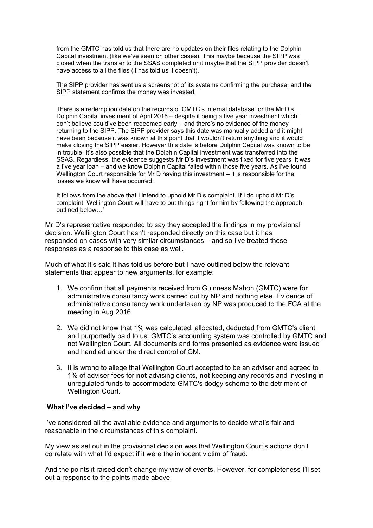from the GMTC has told us that there are no updates on their files relating to the Dolphin Capital investment (like we've seen on other cases). This maybe because the SIPP was closed when the transfer to the SSAS completed or it maybe that the SIPP provider doesn't have access to all the files (it has told us it doesn't).

The SIPP provider has sent us a screenshot of its systems confirming the purchase, and the SIPP statement confirms the money was invested.

There is a redemption date on the records of GMTC's internal database for the Mr D's Dolphin Capital investment of April 2016 – despite it being a five year investment which I don't believe could've been redeemed early – and there's no evidence of the money returning to the SIPP. The SIPP provider says this date was manually added and it might have been because it was known at this point that it wouldn't return anything and it would make closing the SIPP easier. However this date is before Dolphin Capital was known to be in trouble. It's also possible that the Dolphin Capital investment was transferred into the SSAS. Regardless, the evidence suggests Mr D's investment was fixed for five years, it was a five year loan – and we know Dolphin Capital failed within those five years. As I've found Wellington Court responsible for Mr D having this investment – it is responsible for the losses we know will have occurred.

It follows from the above that I intend to uphold Mr D's complaint. If I do uphold Mr D's complaint, Wellington Court will have to put things right for him by following the approach outlined below…'

Mr D's representative responded to say they accepted the findings in my provisional decision. Wellington Court hasn't responded directly on this case but it has responded on cases with very similar circumstances – and so I've treated these responses as a response to this case as well.

Much of what it's said it has told us before but I have outlined below the relevant statements that appear to new arguments, for example:

- 1. We confirm that all payments received from Guinness Mahon (GMTC) were for administrative consultancy work carried out by NP and nothing else. Evidence of administrative consultancy work undertaken by NP was produced to the FCA at the meeting in Aug 2016.
- 2. We did not know that 1% was calculated, allocated, deducted from GMTC's client and purportedly paid to us. GMTC's accounting system was controlled by GMTC and not Wellington Court. All documents and forms presented as evidence were issued and handled under the direct control of GM.
- 3. It is wrong to allege that Wellington Court accepted to be an adviser and agreed to 1% of adviser fees for **not** advising clients, **not** keeping any records and investing in unregulated funds to accommodate GMTC's dodgy scheme to the detriment of Wellington Court.

#### **What I've decided – and why**

I've considered all the available evidence and arguments to decide what's fair and reasonable in the circumstances of this complaint.

My view as set out in the provisional decision was that Wellington Court's actions don't correlate with what I'd expect if it were the innocent victim of fraud.

And the points it raised don't change my view of events. However, for completeness I'll set out a response to the points made above.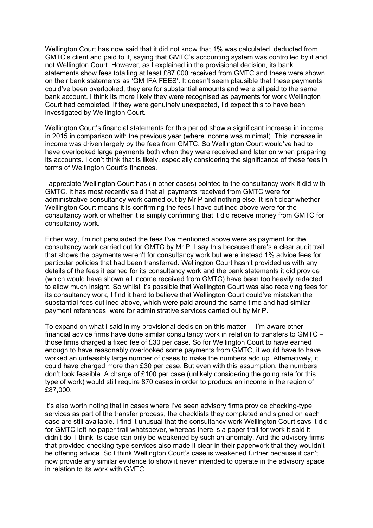Wellington Court has now said that it did not know that 1% was calculated, deducted from GMTC's client and paid to it, saying that GMTC's accounting system was controlled by it and not Wellington Court. However, as I explained in the provisional decision, its bank statements show fees totalling at least £87,000 received from GMTC and these were shown on their bank statements as 'GM IFA FEES'. It doesn't seem plausible that these payments could've been overlooked, they are for substantial amounts and were all paid to the same bank account. I think its more likely they were recognised as payments for work Wellington Court had completed. If they were genuinely unexpected, I'd expect this to have been investigated by Wellington Court.

Wellington Court's financial statements for this period show a significant increase in income in 2015 in comparison with the previous year (where income was minimal). This increase in income was driven largely by the fees from GMTC. So Wellington Court would've had to have overlooked large payments both when they were received and later on when preparing its accounts. I don't think that is likely, especially considering the significance of these fees in terms of Wellington Court's finances.

I appreciate Wellington Court has (in other cases) pointed to the consultancy work it did with GMTC. It has most recently said that all payments received from GMTC were for administrative consultancy work carried out by Mr P and nothing else. It isn't clear whether Wellington Court means it is confirming the fees I have outlined above were for the consultancy work or whether it is simply confirming that it did receive money from GMTC for consultancy work.

Either way, I'm not persuaded the fees I've mentioned above were as payment for the consultancy work carried out for GMTC by Mr P. I say this because there's a clear audit trail that shows the payments weren't for consultancy work but were instead 1% advice fees for particular policies that had been transferred. Wellington Court hasn't provided us with any details of the fees it earned for its consultancy work and the bank statements it did provide (which would have shown all income received from GMTC) have been too heavily redacted to allow much insight. So whilst it's possible that Wellington Court was also receiving fees for its consultancy work, I find it hard to believe that Wellington Court could've mistaken the substantial fees outlined above, which were paid around the same time and had similar payment references, were for administrative services carried out by Mr P.

To expand on what I said in my provisional decision on this matter – I'm aware other financial advice firms have done similar consultancy work in relation to transfers to GMTC – those firms charged a fixed fee of £30 per case. So for Wellington Court to have earned enough to have reasonably overlooked some payments from GMTC, it would have to have worked an unfeasibly large number of cases to make the numbers add up. Alternatively, it could have charged more than £30 per case. But even with this assumption, the numbers don't look feasible. A charge of £100 per case (unlikely considering the going rate for this type of work) would still require 870 cases in order to produce an income in the region of £87,000.

It's also worth noting that in cases where I've seen advisory firms provide checking-type services as part of the transfer process, the checklists they completed and signed on each case are still available. I find it unusual that the consultancy work Wellington Court says it did for GMTC left no paper trail whatsoever, whereas there is a paper trail for work it said it didn't do. I think its case can only be weakened by such an anomaly. And the advisory firms that provided checking-type services also made it clear in their paperwork that they wouldn't be offering advice. So I think Wellington Court's case is weakened further because it can't now provide any similar evidence to show it never intended to operate in the advisory space in relation to its work with GMTC.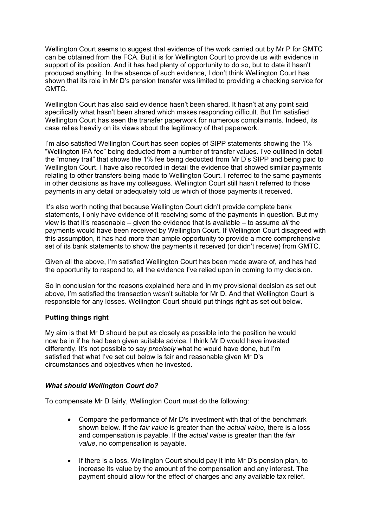Wellington Court seems to suggest that evidence of the work carried out by Mr P for GMTC can be obtained from the FCA. But it is for Wellington Court to provide us with evidence in support of its position. And it has had plenty of opportunity to do so, but to date it hasn't produced anything. In the absence of such evidence, I don't think Wellington Court has shown that its role in Mr D's pension transfer was limited to providing a checking service for GMTC.

Wellington Court has also said evidence hasn't been shared. It hasn't at any point said specifically what hasn't been shared which makes responding difficult. But I'm satisfied Wellington Court has seen the transfer paperwork for numerous complainants. Indeed, its case relies heavily on its views about the legitimacy of that paperwork.

I'm also satisfied Wellington Court has seen copies of SIPP statements showing the 1% "Wellington IFA fee" being deducted from a number of transfer values. I've outlined in detail the "money trail" that shows the 1% fee being deducted from Mr D's SIPP and being paid to Wellington Court. I have also recorded in detail the evidence that showed similar payments relating to other transfers being made to Wellington Court. I referred to the same payments in other decisions as have my colleagues. Wellington Court still hasn't referred to those payments in any detail or adequately told us which of those payments it received.

It's also worth noting that because Wellington Court didn't provide complete bank statements, I only have evidence of it receiving some of the payments in question. But my view is that it's reasonable – given the evidence that is available – to assume *all* the payments would have been received by Wellington Court. If Wellington Court disagreed with this assumption, it has had more than ample opportunity to provide a more comprehensive set of its bank statements to show the payments it received (or didn't receive) from GMTC.

Given all the above, I'm satisfied Wellington Court has been made aware of, and has had the opportunity to respond to, all the evidence I've relied upon in coming to my decision.

So in conclusion for the reasons explained here and in my provisional decision as set out above, I'm satisfied the transaction wasn't suitable for Mr D. And that Wellington Court is responsible for any losses. Wellington Court should put things right as set out below.

# **Putting things right**

My aim is that Mr D should be put as closely as possible into the position he would now be in if he had been given suitable advice. I think Mr D would have invested differently. It's not possible to say *precisely* what he would have done, but I'm satisfied that what I've set out below is fair and reasonable given Mr D's circumstances and objectives when he invested.

# *What should Wellington Court do?*

To compensate Mr D fairly, Wellington Court must do the following:

- Compare the performance of Mr D's investment with that of the benchmark shown below. If the *fair value* is greater than the *actual value*, there is a loss and compensation is payable. If the *actual value* is greater than the *fair value*, no compensation is payable.
- If there is a loss, Wellington Court should pay it into Mr D's pension plan, to increase its value by the amount of the compensation and any interest. The payment should allow for the effect of charges and any available tax relief.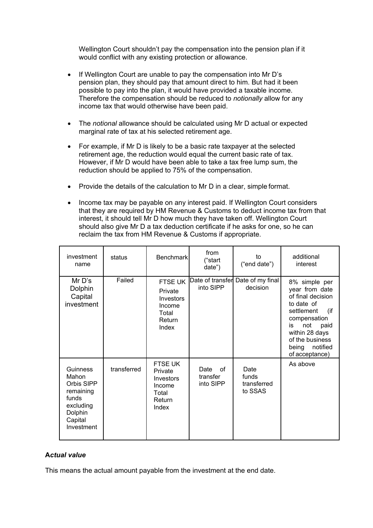Wellington Court shouldn't pay the compensation into the pension plan if it would conflict with any existing protection or allowance.

- If Wellington Court are unable to pay the compensation into Mr D's pension plan, they should pay that amount direct to him. But had it been possible to pay into the plan, it would have provided a taxable income. Therefore the compensation should be reduced to *notionally* allow for any income tax that would otherwise have been paid.
- The *notional* allowance should be calculated using Mr D actual or expected marginal rate of tax at his selected retirement age.
- For example, if Mr D is likely to be a basic rate taxpayer at the selected retirement age, the reduction would equal the current basic rate of tax. However, if Mr D would have been able to take a tax free lump sum, the reduction should be applied to 75% of the compensation.
- Provide the details of the calculation to Mr D in a clear, simple format.
- Income tax may be payable on any interest paid. If Wellington Court considers that they are required by HM Revenue & Customs to deduct income tax from that interest, it should tell Mr D how much they have taken off. Wellington Court should also give Mr D a tax deduction certificate if he asks for one, so he can reclaim the tax from HM Revenue & Customs if appropriate.

| investment<br>name                                                                                            | status      | <b>Benchmark</b>                                                      | from<br>("start<br>date")           | to<br>("end date")                            | additional<br>interest                                                                                                                                                                                |
|---------------------------------------------------------------------------------------------------------------|-------------|-----------------------------------------------------------------------|-------------------------------------|-----------------------------------------------|-------------------------------------------------------------------------------------------------------------------------------------------------------------------------------------------------------|
| Mr D's<br>Dolphin<br>Capital<br>investment                                                                    | Failed      | FTSE UK<br>Private<br>Investors<br>Income<br>Total<br>Return<br>Index | into SIPP                           | Date of transfer Date of my final<br>decision | 8% simple per<br>year from date<br>of final decision<br>to date of<br>(if<br>settlement<br>compensation<br>not<br>paid<br>is<br>within 28 days<br>of the business<br>being notified<br>of acceptance) |
| <b>Guinness</b><br>Mahon<br>Orbis SIPP<br>remaining<br>funds<br>excluding<br>Dolphin<br>Capital<br>Investment | transferred | FTSE UK<br>Private<br>Investors<br>Income<br>Total<br>Return<br>Index | Date<br>of<br>transfer<br>into SIPP | Date<br>funds<br>transferred<br>to SSAS       | As above                                                                                                                                                                                              |

# **A***ctual value*

This means the actual amount payable from the investment at the end date.